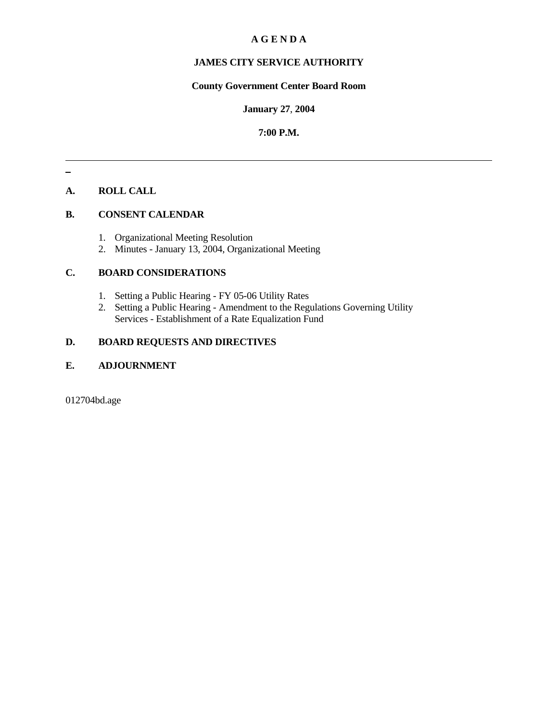# **A G E N D A**

# **JAMES CITY SERVICE AUTHORITY**

# **County Government Center Board Room**

#### **January 27**, **2004**

# **7:00 P.M.**

# **A. ROLL CALL**

# **B. CONSENT CALENDAR**

- 1. Organizational Meeting Resolution
- 2. Minutes January 13, 2004, Organizational Meeting

# **C. BOARD CONSIDERATIONS**

- 1. Setting a Public Hearing FY 05-06 Utility Rates
- 2. Setting a Public Hearing Amendment to the Regulations Governing Utility Services - Establishment of a Rate Equalization Fund

# **D. BOARD REQUESTS AND DIRECTIVES**

# **E. ADJOURNMENT**

012704bd.age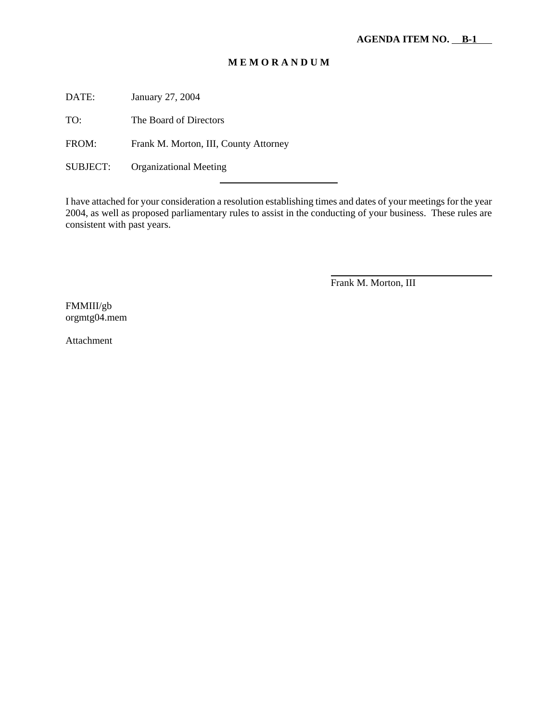# **M E M O R A N D U M**

DATE: January 27, 2004

TO: The Board of Directors

FROM: Frank M. Morton, III, County Attorney

l

SUBJECT: Organizational Meeting

I have attached for your consideration a resolution establishing times and dates of your meetings for the year 2004, as well as proposed parliamentary rules to assist in the conducting of your business. These rules are consistent with past years.

Frank M. Morton, III

l

FMMIII/gb orgmtg04.mem

Attachment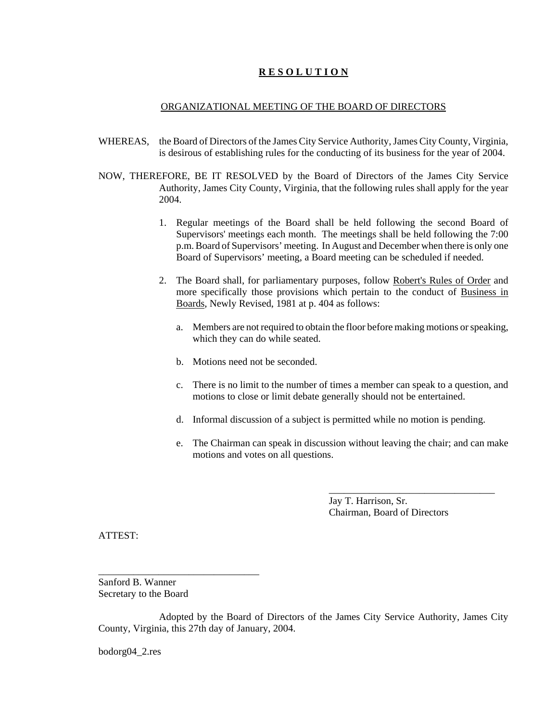## **R E S O L U T I O N**

#### ORGANIZATIONAL MEETING OF THE BOARD OF DIRECTORS

- WHEREAS, the Board of Directors of the James City Service Authority, James City County, Virginia, is desirous of establishing rules for the conducting of its business for the year of 2004.
- NOW, THEREFORE, BE IT RESOLVED by the Board of Directors of the James City Service Authority, James City County, Virginia, that the following rules shall apply for the year 2004.
	- 1. Regular meetings of the Board shall be held following the second Board of Supervisors' meetings each month. The meetings shall be held following the 7:00 p.m. Board of Supervisors' meeting. In August and December when there is only one Board of Supervisors' meeting, a Board meeting can be scheduled if needed.
	- 2. The Board shall, for parliamentary purposes, follow Robert's Rules of Order and more specifically those provisions which pertain to the conduct of Business in Boards, Newly Revised, 1981 at p. 404 as follows:
		- a. Members are not required to obtain the floor before making motions or speaking, which they can do while seated.
		- b. Motions need not be seconded.
		- c. There is no limit to the number of times a member can speak to a question, and motions to close or limit debate generally should not be entertained.
		- d. Informal discussion of a subject is permitted while no motion is pending.
		- e. The Chairman can speak in discussion without leaving the chair; and can make motions and votes on all questions.

Jay T. Harrison, Sr. Chairman, Board of Directors

\_\_\_\_\_\_\_\_\_\_\_\_\_\_\_\_\_\_\_\_\_\_\_\_\_\_\_\_\_\_\_\_\_

ATTEST:

Sanford B. Wanner Secretary to the Board

\_\_\_\_\_\_\_\_\_\_\_\_\_\_\_\_\_\_\_\_\_\_\_\_\_\_\_\_\_\_\_\_

Adopted by the Board of Directors of the James City Service Authority, James City County, Virginia, this 27th day of January, 2004.

bodorg04\_2.res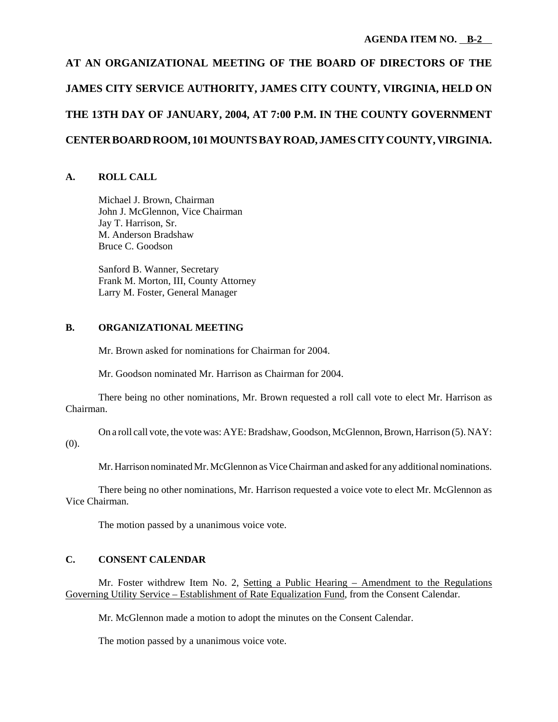# **AT AN ORGANIZATIONAL MEETING OF THE BOARD OF DIRECTORS OF THE JAMES CITY SERVICE AUTHORITY, JAMES CITY COUNTY, VIRGINIA, HELD ON THE 13TH DAY OF JANUARY, 2004, AT 7:00 P.M. IN THE COUNTY GOVERNMENT CENTER BOARD ROOM, 101 MOUNTS BAY ROAD, JAMES CITY COUNTY, VIRGINIA.**

# **A. ROLL CALL**

Michael J. Brown, Chairman John J. McGlennon, Vice Chairman Jay T. Harrison, Sr. M. Anderson Bradshaw Bruce C. Goodson

Sanford B. Wanner, Secretary Frank M. Morton, III, County Attorney Larry M. Foster, General Manager

# **B. ORGANIZATIONAL MEETING**

Mr. Brown asked for nominations for Chairman for 2004.

Mr. Goodson nominated Mr. Harrison as Chairman for 2004.

There being no other nominations, Mr. Brown requested a roll call vote to elect Mr. Harrison as Chairman.

On a roll call vote, the vote was: AYE: Bradshaw, Goodson, McGlennon, Brown, Harrison (5). NAY: (0).

Mr. Harrison nominated Mr. McGlennon as Vice Chairman and asked for any additional nominations.

There being no other nominations, Mr. Harrison requested a voice vote to elect Mr. McGlennon as Vice Chairman.

The motion passed by a unanimous voice vote.

# **C. CONSENT CALENDAR**

Mr. Foster withdrew Item No. 2, Setting a Public Hearing – Amendment to the Regulations Governing Utility Service – Establishment of Rate Equalization Fund, from the Consent Calendar.

Mr. McGlennon made a motion to adopt the minutes on the Consent Calendar.

The motion passed by a unanimous voice vote.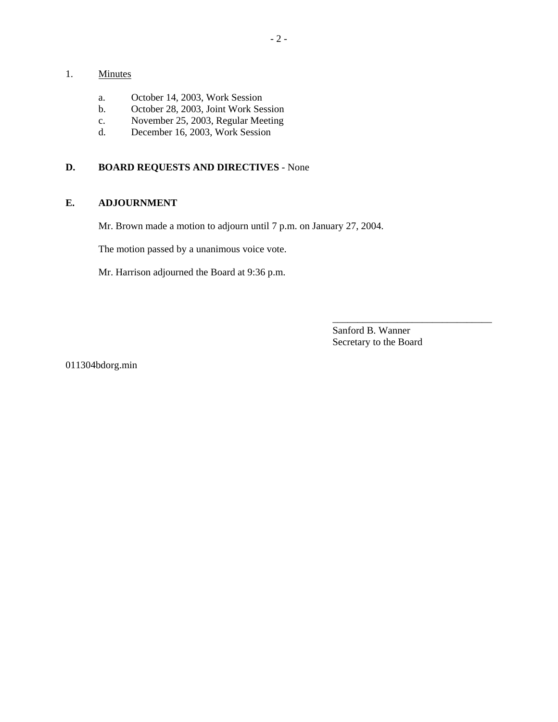# 1. Minutes

- a. October 14, 2003, Work Session
- b. October 28, 2003, Joint Work Session
- c. November 25, 2003, Regular Meeting
- d. December 16, 2003, Work Session

# **D. BOARD REQUESTS AND DIRECTIVES** - None

# **E. ADJOURNMENT**

Mr. Brown made a motion to adjourn until 7 p.m. on January 27, 2004.

The motion passed by a unanimous voice vote.

Mr. Harrison adjourned the Board at 9:36 p.m.

Sanford B. Wanner Secretary to the Board

\_\_\_\_\_\_\_\_\_\_\_\_\_\_\_\_\_\_\_\_\_\_\_\_\_\_\_\_\_\_\_\_

011304bdorg.min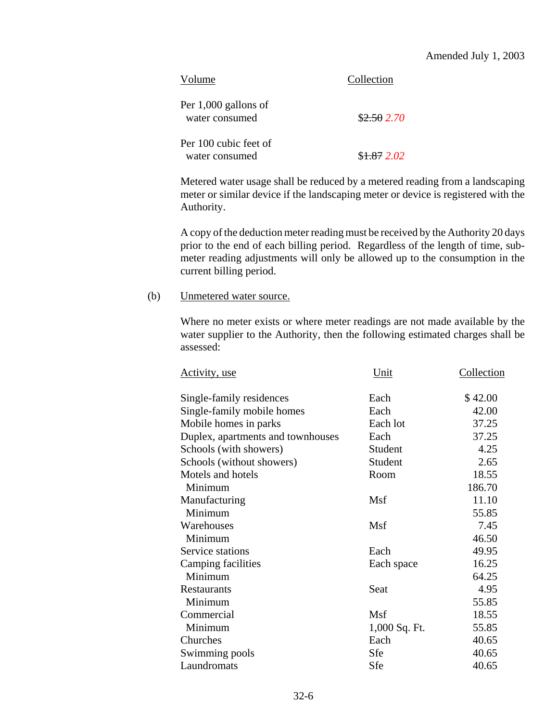| Volume                                  | Collection |
|-----------------------------------------|------------|
| Per 1,000 gallons of<br>water consumed  | \$2.502.70 |
| Per 100 cubic feet of<br>water consumed | \$1.872.02 |

Metered water usage shall be reduced by a metered reading from a landscaping meter or similar device if the landscaping meter or device is registered with the Authority.

A copy of the deduction meter reading must be received by the Authority 20 days prior to the end of each billing period. Regardless of the length of time, submeter reading adjustments will only be allowed up to the consumption in the current billing period.

# (b) Unmetered water source.

Where no meter exists or where meter readings are not made available by the water supplier to the Authority, then the following estimated charges shall be assessed:

| Activity, use                     | Unit          | Collection |
|-----------------------------------|---------------|------------|
| Single-family residences          | Each          | \$42.00    |
| Single-family mobile homes        | Each          | 42.00      |
| Mobile homes in parks             | Each lot      | 37.25      |
| Duplex, apartments and townhouses | Each          | 37.25      |
| Schools (with showers)            | Student       | 4.25       |
| Schools (without showers)         | Student       | 2.65       |
| Motels and hotels                 | Room          | 18.55      |
| Minimum                           |               | 186.70     |
| Manufacturing                     | Msf           | 11.10      |
| Minimum                           |               | 55.85      |
| Warehouses                        | Msf           | 7.45       |
| Minimum                           |               | 46.50      |
| Service stations                  | Each          | 49.95      |
| Camping facilities                | Each space    | 16.25      |
| Minimum                           |               | 64.25      |
| <b>Restaurants</b>                | Seat          | 4.95       |
| Minimum                           |               | 55.85      |
| Commercial                        | Msf           | 18.55      |
| Minimum                           | 1,000 Sq. Ft. | 55.85      |
| Churches                          | Each          | 40.65      |
| Swimming pools                    | Sfe           | 40.65      |
| Laundromats                       | Sfe           | 40.65      |
|                                   |               |            |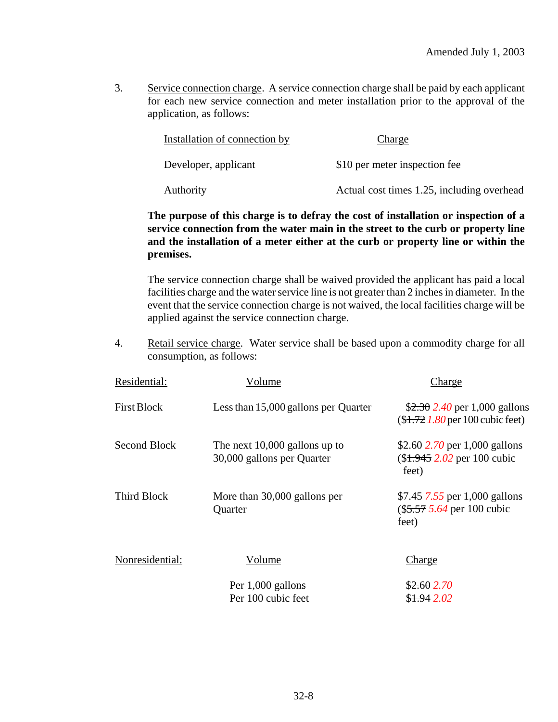3. Service connection charge. A service connection charge shall be paid by each applicant for each new service connection and meter installation prior to the approval of the application, as follows:

| Installation of connection by | Charge                                     |
|-------------------------------|--------------------------------------------|
| Developer, applicant          | \$10 per meter inspection fee              |
| Authority                     | Actual cost times 1.25, including overhead |

# **The purpose of this charge is to defray the cost of installation or inspection of a service connection from the water main in the street to the curb or property line and the installation of a meter either at the curb or property line or within the premises.**

The service connection charge shall be waived provided the applicant has paid a local facilities charge and the water service line is not greater than 2 inches in diameter. In the event that the service connection charge is not waived, the local facilities charge will be applied against the service connection charge.

4. Retail service charge. Water service shall be based upon a commodity charge for all consumption, as follows:

| Residential:    | Volume                                                        | Charge                                                                 |
|-----------------|---------------------------------------------------------------|------------------------------------------------------------------------|
| First Block     | Less than 15,000 gallons per Quarter                          | $$2.30$ 2.40 per 1,000 gallons<br>$($1.721.80$ per 100 cubic feet)     |
| Second Block    | The next $10,000$ gallons up to<br>30,000 gallons per Quarter | \$2.60 2.70 per 1,000 gallons<br>$($1.945 2.02$ per 100 cubic<br>feet) |
| Third Block     | More than 30,000 gallons per<br>Quarter                       | $$7.45$ 7.55 per 1,000 gallons<br>$\$5.57 5.64$ per 100 cubic<br>feet) |
| Nonresidential: | Volume                                                        | Charge                                                                 |
|                 | Per 1,000 gallons<br>Per 100 cubic feet                       | \$2.602.70<br>\$1.942.02                                               |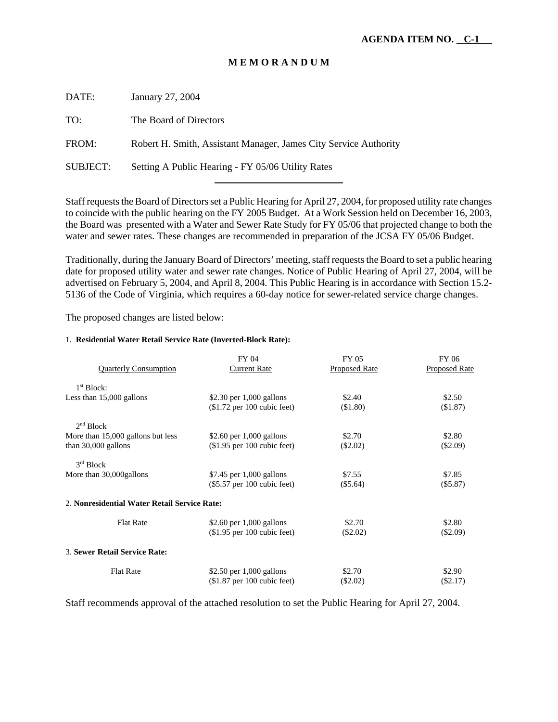# **M E M O R A N D U M**

DATE: January 27, 2004 TO: The Board of Directors FROM: Robert H. Smith, Assistant Manager, James City Service Authority

SUBJECT: Setting A Public Hearing - FY 05/06 Utility Rates

l

Staff requests the Board of Directors set a Public Hearing for April 27, 2004, for proposed utility rate changes to coincide with the public hearing on the FY 2005 Budget. At a Work Session held on December 16, 2003, the Board was presented with a Water and Sewer Rate Study for FY 05/06 that projected change to both the water and sewer rates. These changes are recommended in preparation of the JCSA FY 05/06 Budget.

Traditionally, during the January Board of Directors' meeting, staff requests the Board to set a public hearing date for proposed utility water and sewer rate changes. Notice of Public Hearing of April 27, 2004, will be advertised on February 5, 2004, and April 8, 2004. This Public Hearing is in accordance with Section 15.2- 5136 of the Code of Virginia, which requires a 60-day notice for sewer-related service charge changes.

The proposed changes are listed below:

#### 1. **Residential Water Retail Service Rate (Inverted-Block Rate):**

| <b>Quarterly Consumption</b>                 | FY 04<br><b>Current Rate</b>  | <b>FY 05</b><br>Proposed Rate | FY 06<br><b>Proposed Rate</b> |
|----------------------------------------------|-------------------------------|-------------------------------|-------------------------------|
| 1 <sup>st</sup> Block:                       |                               |                               |                               |
| Less than 15,000 gallons                     | \$2.30 per 1,000 gallons      | \$2.40                        | \$2.50                        |
|                                              | $$1.72$ per 100 cubic feet)   | (\$1.80)                      | (\$1.87)                      |
| 2 <sup>nd</sup> Block                        |                               |                               |                               |
| More than 15,000 gallons but less            | \$2.60 per $1,000$ gallons    | \$2.70                        | \$2.80                        |
| than $30,000$ gallons                        | $($1.95$ per 100 cubic feet)  | $(\$2.02)$                    | $(\$2.09)$                    |
| 3 <sup>rd</sup> Block                        |                               |                               |                               |
| More than 30,000 gallons                     | $$7.45$ per 1,000 gallons     | \$7.55                        | \$7.85                        |
|                                              | $(\$5.57$ per 100 cubic feet) | $(\$5.64)$                    | (\$5.87)                      |
| 2. Nonresidential Water Retail Service Rate: |                               |                               |                               |
| <b>Flat Rate</b>                             | \$2.60 per $1,000$ gallons    | \$2.70                        | \$2.80                        |
|                                              | $($1.95$ per 100 cubic feet)  | (S2.02)                       | $(\$2.09)$                    |
| 3. Sewer Retail Service Rate:                |                               |                               |                               |
| <b>Flat Rate</b>                             | \$2.50 per $1,000$ gallons    | \$2.70                        | \$2.90                        |
|                                              | $($1.87$ per 100 cubic feet)  | $(\$2.02)$                    | $(\$2.17)$                    |

Staff recommends approval of the attached resolution to set the Public Hearing for April 27, 2004.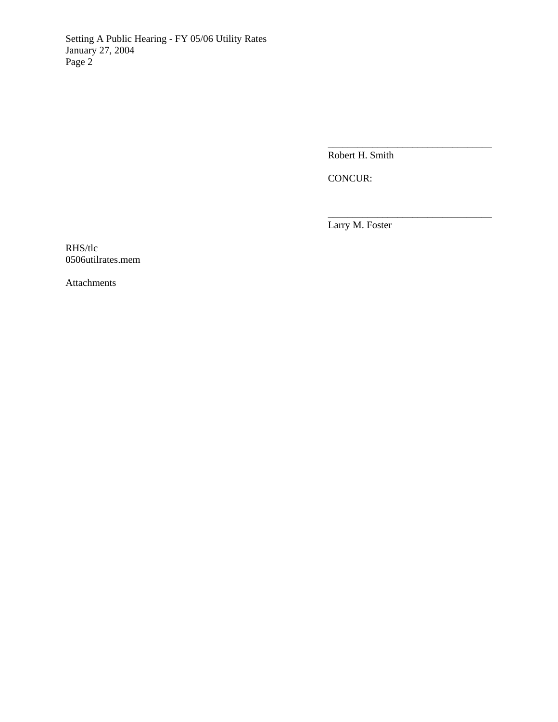Setting A Public Hearing - FY 05/06 Utility Rates January 27, 2004 Page 2

Robert H. Smith

\_\_\_\_\_\_\_\_\_\_\_\_\_\_\_\_\_\_\_\_\_\_\_\_\_\_\_\_\_\_\_\_\_

\_\_\_\_\_\_\_\_\_\_\_\_\_\_\_\_\_\_\_\_\_\_\_\_\_\_\_\_\_\_\_\_\_

CONCUR:

Larry M. Foster

RHS/tlc 0506utilrates.mem

Attachments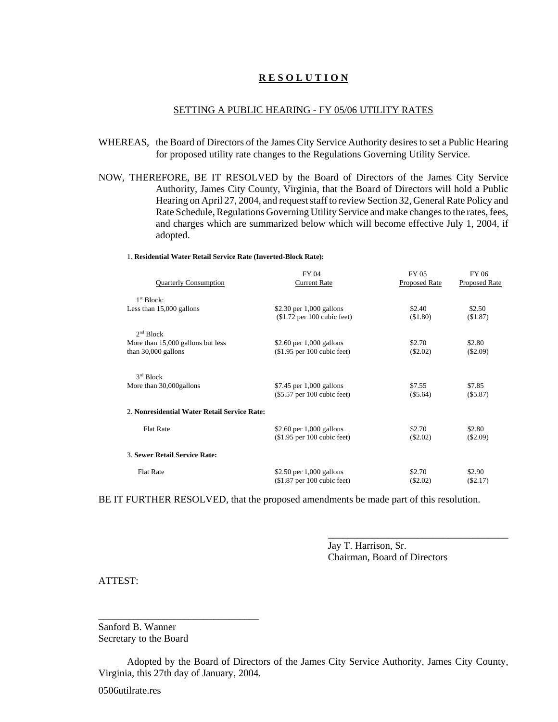## **R E S O L U T I O N**

#### SETTING A PUBLIC HEARING - FY 05/06 UTILITY RATES

- WHEREAS, the Board of Directors of the James City Service Authority desires to set a Public Hearing for proposed utility rate changes to the Regulations Governing Utility Service.
- NOW, THEREFORE, BE IT RESOLVED by the Board of Directors of the James City Service Authority, James City County, Virginia, that the Board of Directors will hold a Public Hearing on April 27, 2004, and request staff to review Section 32, General Rate Policy and Rate Schedule, Regulations Governing Utility Service and make changes to the rates, fees, and charges which are summarized below which will become effective July 1, 2004, if adopted.

#### 1. **Residential Water Retail Service Rate (Inverted-Block Rate):**

| <b>Quarterly Consumption</b>                 | FY 04<br><b>Current Rate</b>  | <b>FY 05</b><br><b>Proposed Rate</b> | FY 06<br>Proposed Rate |
|----------------------------------------------|-------------------------------|--------------------------------------|------------------------|
| 1 <sup>st</sup> Block:                       |                               |                                      |                        |
| Less than $15,000$ gallons                   | \$2.30 per $1,000$ gallons    | \$2.40                               | \$2.50                 |
|                                              | $($1.72$ per 100 cubic feet)  | (\$1.80)                             | (\$1.87)               |
| 2 <sup>nd</sup> Block                        |                               |                                      |                        |
| More than 15,000 gallons but less            | \$2.60 per $1,000$ gallons    | \$2.70                               | \$2.80                 |
| than $30,000$ gallons                        | $($1.95$ per 100 cubic feet)  | $(\$2.02)$                           | $(\$2.09)$             |
| 3 <sup>rd</sup> Block                        |                               |                                      |                        |
| More than 30,000 gallons                     | \$7.45 per 1,000 gallons      | \$7.55                               | \$7.85                 |
|                                              | $(\$5.57$ per 100 cubic feet) | $(\$5.64)$                           | $(\$5.87)$             |
| 2. Nonresidential Water Retail Service Rate: |                               |                                      |                        |
| <b>Flat Rate</b>                             | \$2.60 per $1,000$ gallons    | \$2.70                               | \$2.80                 |
|                                              | $$1.95$ per 100 cubic feet)   | $(\$2.02)$                           | $(\$2.09)$             |
| 3. Sewer Retail Service Rate:                |                               |                                      |                        |
| <b>Flat Rate</b>                             | \$2.50 per $1,000$ gallons    | \$2.70                               | \$2.90                 |
|                                              | $($1.87$ per 100 cubic feet)  | (\$2.02)                             | (S2.17)                |
|                                              |                               |                                      |                        |

BE IT FURTHER RESOLVED, that the proposed amendments be made part of this resolution.

Jay T. Harrison, Sr. Chairman, Board of Directors

\_\_\_\_\_\_\_\_\_\_\_\_\_\_\_\_\_\_\_\_\_\_\_\_\_\_\_\_\_\_\_\_\_\_\_\_

#### ATTEST:

Sanford B. Wanner Secretary to the Board

\_\_\_\_\_\_\_\_\_\_\_\_\_\_\_\_\_\_\_\_\_\_\_\_\_\_\_\_\_\_\_\_

Adopted by the Board of Directors of the James City Service Authority, James City County, Virginia, this 27th day of January, 2004.

0506utilrate.res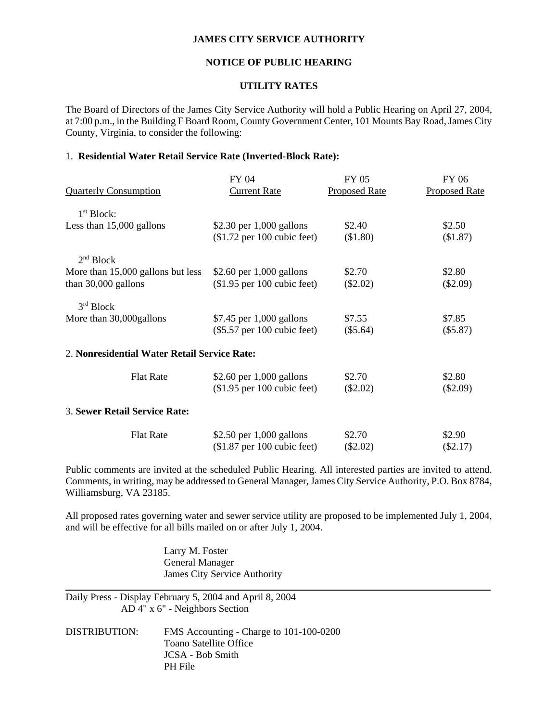#### **JAMES CITY SERVICE AUTHORITY**

## **NOTICE OF PUBLIC HEARING**

#### **UTILITY RATES**

The Board of Directors of the James City Service Authority will hold a Public Hearing on April 27, 2004, at 7:00 p.m., in the Building F Board Room, County Government Center, 101 Mounts Bay Road, James City County, Virginia, to consider the following:

## 1. **Residential Water Retail Service Rate (Inverted-Block Rate):**

|                                              | FY 04                         | FY 05                | FY 06                |
|----------------------------------------------|-------------------------------|----------------------|----------------------|
| <b>Quarterly Consumption</b>                 | <b>Current Rate</b>           | <b>Proposed Rate</b> | <b>Proposed Rate</b> |
| 1 <sup>st</sup> Block:                       |                               |                      |                      |
| Less than 15,000 gallons                     | \$2.30 per $1,000$ gallons    | \$2.40               | \$2.50               |
|                                              | $$1.72$ per 100 cubic feet)   | (\$1.80)             | (\$1.87)             |
| 2 <sup>nd</sup> Block                        |                               |                      |                      |
| More than 15,000 gallons but less            | \$2.60 per $1,000$ gallons    | \$2.70               | \$2.80               |
| than $30,000$ gallons                        | $$1.95$ per 100 cubic feet)   | $(\$2.02)$           | $(\$2.09)$           |
| 3 <sup>rd</sup> Block                        |                               |                      |                      |
| More than 30,000 gallons                     | $$7.45$ per 1,000 gallons     | \$7.55               | \$7.85               |
|                                              | $(\$5.57$ per 100 cubic feet) | $(\$5.64)$           | (\$5.87)             |
| 2. Nonresidential Water Retail Service Rate: |                               |                      |                      |
| <b>Flat Rate</b>                             | \$2.60 per $1,000$ gallons    | \$2.70               | \$2.80               |
|                                              | $($1.95$ per 100 cubic feet)  | $(\$2.02)$           | $(\$2.09)$           |
| 3. Sewer Retail Service Rate:                |                               |                      |                      |
| <b>Flat Rate</b>                             | \$2.50 per $1,000$ gallons    | \$2.70               | \$2.90               |
|                                              | $($1.87$ per 100 cubic feet)  | $(\$2.02)$           | $(\$2.17)$           |

Public comments are invited at the scheduled Public Hearing. All interested parties are invited to attend. Comments, in writing, may be addressed to General Manager, James City Service Authority, P.O. Box 8784, Williamsburg, VA 23185.

All proposed rates governing water and sewer service utility are proposed to be implemented July 1, 2004, and will be effective for all bills mailed on or after July 1, 2004.

> Larry M. Foster General Manager James City Service Authority

Daily Press - Display February 5, 2004 and April 8, 2004 AD 4" x 6" - Neighbors Section

 $\overline{a}$ 

DISTRIBUTION: FMS Accounting - Charge to 101-100-0200 Toano Satellite Office JCSA - Bob Smith PH File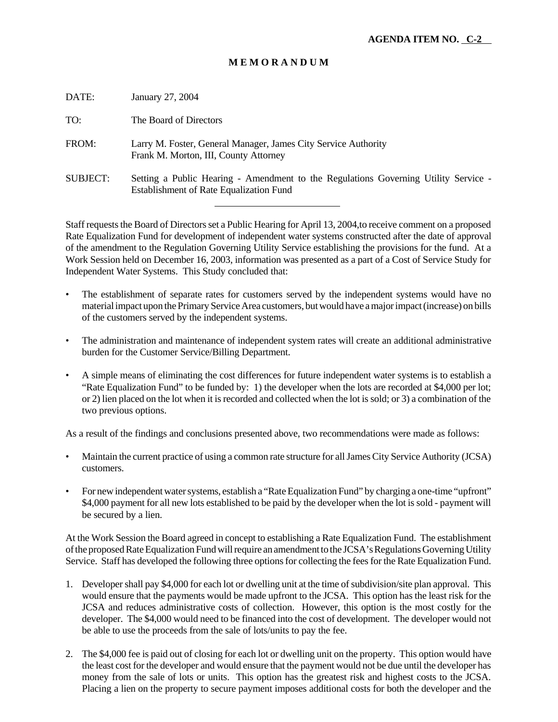# **M E M O R A N D U M**

| DATE:           | January 27, 2004                                                                                                                      |
|-----------------|---------------------------------------------------------------------------------------------------------------------------------------|
| TO:             | The Board of Directors                                                                                                                |
| FROM:           | Larry M. Foster, General Manager, James City Service Authority<br>Frank M. Morton, III, County Attorney                               |
| <b>SUBJECT:</b> | Setting a Public Hearing - Amendment to the Regulations Governing Utility Service -<br><b>Establishment of Rate Equalization Fund</b> |
|                 |                                                                                                                                       |

Staff requests the Board of Directors set a Public Hearing for April 13, 2004,to receive comment on a proposed Rate Equalization Fund for development of independent water systems constructed after the date of approval of the amendment to the Regulation Governing Utility Service establishing the provisions for the fund. At a Work Session held on December 16, 2003, information was presented as a part of a Cost of Service Study for Independent Water Systems. This Study concluded that:

- The establishment of separate rates for customers served by the independent systems would have no material impact upon the Primary Service Area customers, but would have a major impact (increase) on bills of the customers served by the independent systems.
- The administration and maintenance of independent system rates will create an additional administrative burden for the Customer Service/Billing Department.
- A simple means of eliminating the cost differences for future independent water systems is to establish a "Rate Equalization Fund" to be funded by: 1) the developer when the lots are recorded at \$4,000 per lot; or 2) lien placed on the lot when it is recorded and collected when the lot is sold; or 3) a combination of the two previous options.

As a result of the findings and conclusions presented above, two recommendations were made as follows:

- Maintain the current practice of using a common rate structure for all James City Service Authority (JCSA) customers.
- For new independent water systems, establish a "Rate Equalization Fund" by charging a one-time "upfront" \$4,000 payment for all new lots established to be paid by the developer when the lot is sold - payment will be secured by a lien.

At the Work Session the Board agreed in concept to establishing a Rate Equalization Fund. The establishment of the proposed Rate Equalization Fund will require an amendment to the JCSA's Regulations Governing Utility Service. Staff has developed the following three options for collecting the fees for the Rate Equalization Fund.

- 1. Developer shall pay \$4,000 for each lot or dwelling unit at the time of subdivision/site plan approval. This would ensure that the payments would be made upfront to the JCSA. This option has the least risk for the JCSA and reduces administrative costs of collection. However, this option is the most costly for the developer. The \$4,000 would need to be financed into the cost of development. The developer would not be able to use the proceeds from the sale of lots/units to pay the fee.
- 2. The \$4,000 fee is paid out of closing for each lot or dwelling unit on the property. This option would have the least cost for the developer and would ensure that the payment would not be due until the developer has money from the sale of lots or units. This option has the greatest risk and highest costs to the JCSA. Placing a lien on the property to secure payment imposes additional costs for both the developer and the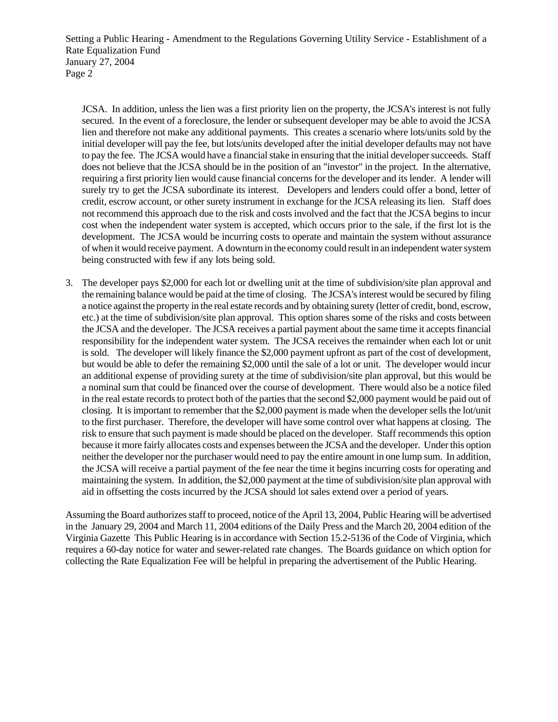Setting a Public Hearing - Amendment to the Regulations Governing Utility Service - Establishment of a Rate Equalization Fund January 27, 2004 Page 2

JCSA. In addition, unless the lien was a first priority lien on the property, the JCSA's interest is not fully secured. In the event of a foreclosure, the lender or subsequent developer may be able to avoid the JCSA lien and therefore not make any additional payments. This creates a scenario where lots/units sold by the initial developer will pay the fee, but lots/units developed after the initial developer defaults may not have to pay the fee. The JCSA would have a financial stake in ensuring that the initial developer succeeds. Staff does not believe that the JCSA should be in the position of an "investor" in the project. In the alternative, requiring a first priority lien would cause financial concerns for the developer and its lender. A lender will surely try to get the JCSA subordinate its interest. Developers and lenders could offer a bond, letter of credit, escrow account, or other surety instrument in exchange for the JCSA releasing its lien. Staff does not recommend this approach due to the risk and costs involved and the fact that the JCSA begins to incur cost when the independent water system is accepted, which occurs prior to the sale, if the first lot is the development. The JCSA would be incurring costs to operate and maintain the system without assurance of when it would receive payment. A downturn in the economy could result in an independent water system being constructed with few if any lots being sold.

3. The developer pays \$2,000 for each lot or dwelling unit at the time of subdivision/site plan approval and the remaining balance would be paid at the time of closing. The JCSA's interest would be secured by filing a notice against the property in the real estate records and by obtaining surety (letter of credit, bond, escrow, etc.) at the time of subdivision/site plan approval. This option shares some of the risks and costs between the JCSA and the developer. The JCSA receives a partial payment about the same time it accepts financial responsibility for the independent water system. The JCSA receives the remainder when each lot or unit is sold. The developer will likely finance the \$2,000 payment upfront as part of the cost of development, but would be able to defer the remaining \$2,000 until the sale of a lot or unit. The developer would incur an additional expense of providing surety at the time of subdivision/site plan approval, but this would be a nominal sum that could be financed over the course of development. There would also be a notice filed in the real estate records to protect both of the parties that the second \$2,000 payment would be paid out of closing. It is important to remember that the \$2,000 payment is made when the developer sells the lot/unit to the first purchaser. Therefore, the developer will have some control over what happens at closing. The risk to ensure that such payment is made should be placed on the developer. Staff recommends this option because it more fairly allocates costs and expenses between the JCSA and the developer. Under this option neither the developer nor the purchaser would need to pay the entire amount in one lump sum. In addition, the JCSA will receive a partial payment of the fee near the time it begins incurring costs for operating and maintaining the system. In addition, the \$2,000 payment at the time of subdivision/site plan approval with aid in offsetting the costs incurred by the JCSA should lot sales extend over a period of years.

Assuming the Board authorizes staff to proceed, notice of the April 13, 2004, Public Hearing will be advertised in the January 29, 2004 and March 11, 2004 editions of the Daily Press and the March 20, 2004 edition of the Virginia Gazette This Public Hearing is in accordance with Section 15.2-5136 of the Code of Virginia, which requires a 60-day notice for water and sewer-related rate changes. The Boards guidance on which option for collecting the Rate Equalization Fee will be helpful in preparing the advertisement of the Public Hearing.